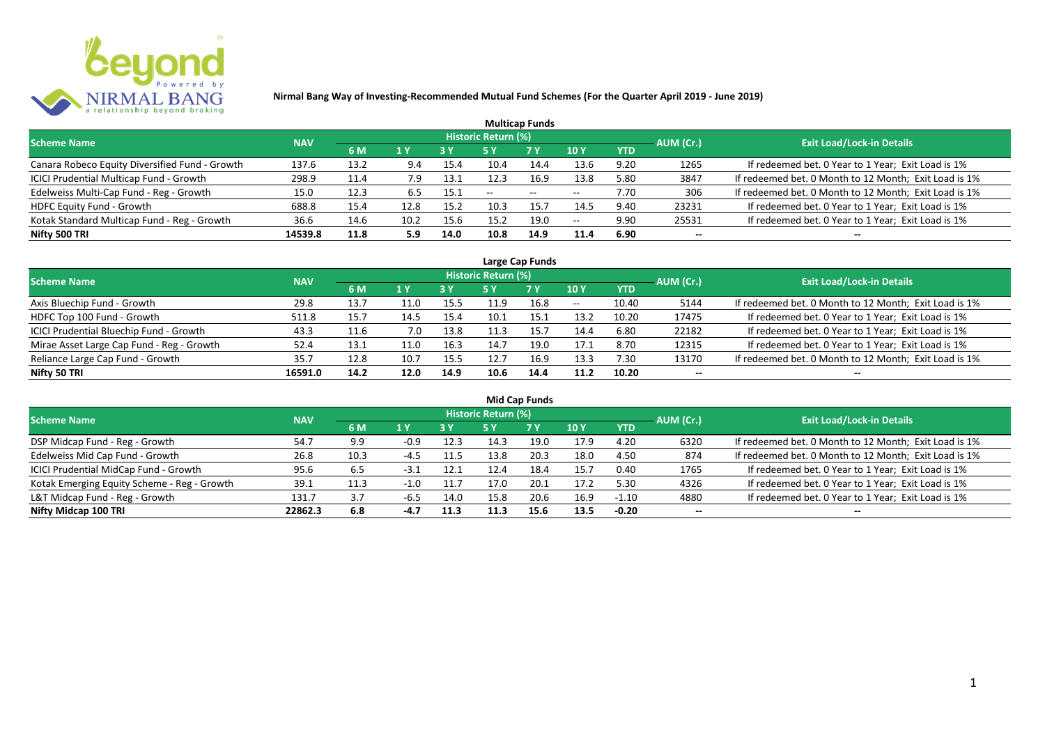

|                                                |            |      |      |            |                            | <b>Multicap Funds</b>    |                          |      |           |                                                       |
|------------------------------------------------|------------|------|------|------------|----------------------------|--------------------------|--------------------------|------|-----------|-------------------------------------------------------|
| <b>Scheme Name</b>                             | <b>NAV</b> |      |      |            | <b>Historic Return (%)</b> |                          |                          |      | AUM (Cr.) | <b>Exit Load/Lock-in Details</b>                      |
|                                                |            | 6 M  | 1 Y  | <b>3 Y</b> |                            | <b>7Y</b>                | <b>10Y</b>               | YTD  |           |                                                       |
| Canara Robeco Equity Diversified Fund - Growth | 137.6      | 13.2 | 9.4  | 15.4       | 10.4                       | 14.4                     | 13.6                     | 9.20 | 1265      | If redeemed bet. 0 Year to 1 Year; Exit Load is 1%    |
| ICICI Prudential Multicap Fund - Growth        | 298.9      | 11.4 | 7.9  | 13.1       | 12.3                       | 16.9                     | 13.8                     | 5.80 | 3847      | If redeemed bet. 0 Month to 12 Month; Exit Load is 1% |
| Edelweiss Multi-Cap Fund - Reg - Growth        | 15.0       | 12.3 | 6.5  | 15.1       | $- -$                      | $\overline{\phantom{a}}$ | $\hspace{0.05cm} \ldots$ | 7.70 | 306       | If redeemed bet. 0 Month to 12 Month; Exit Load is 1% |
| HDFC Equity Fund - Growth                      | 688.8      | 15.4 | 12.8 | 15.2       | 10.3                       | 15.7                     | 14.5                     | 9.40 | 23231     | If redeemed bet. 0 Year to 1 Year; Exit Load is 1%    |
| Kotak Standard Multicap Fund - Reg - Growth    | 36.6       | 14.6 | 10.2 | 15.6       | 15.2                       | 19.0                     | $- -$                    | 9.90 | 25531     | If redeemed bet. 0 Year to 1 Year; Exit Load is 1%    |
| Nifty 500 TRI                                  | 14539.8    | 11.8 | 5.9  | 14.0       | 10.8                       | 14.9                     | 11.4                     | 6.90 | $- -$     | $- -$                                                 |

| Large Cap Funds                           |            |      |                  |      |                     |           |            |            |           |                                                       |  |  |  |
|-------------------------------------------|------------|------|------------------|------|---------------------|-----------|------------|------------|-----------|-------------------------------------------------------|--|--|--|
| Scheme Name                               | <b>NAV</b> |      |                  |      | Historic Return (%) |           |            |            | AUM (Cr.) | <b>Exit Load/Lock-in Details</b>                      |  |  |  |
|                                           |            | 6 M  | $\overline{1}$ Y |      | 5 Y                 | <b>7Y</b> | <b>10Y</b> | <b>YTD</b> |           |                                                       |  |  |  |
| Axis Bluechip Fund - Growth               | 29.8       | 13.7 | 11.0             | 15.5 | 11.9                | 16.8      | $- -$      | 10.40      | 5144      | If redeemed bet. 0 Month to 12 Month; Exit Load is 1% |  |  |  |
| HDFC Top 100 Fund - Growth                | 511.8      | 15.7 | 14.5             | 15.4 | 10.1                | 15.1      | 13.2       | 10.20      | 17475     | If redeemed bet. 0 Year to 1 Year; Exit Load is 1%    |  |  |  |
| ICICI Prudential Bluechip Fund - Growth   | 43.3       | 11.6 | 7.0              | 13.8 |                     | 15.7      | 14.4       | 6.80       | 22182     | If redeemed bet. 0 Year to 1 Year; Exit Load is 1%    |  |  |  |
| Mirae Asset Large Cap Fund - Reg - Growth | 52.4       | 13.1 | 11.0             | 16.3 | 14.7                | 19.0      | 17.1       | 8.70       | 12315     | If redeemed bet. 0 Year to 1 Year; Exit Load is 1%    |  |  |  |
| Reliance Large Cap Fund - Growth          | 35.7       | 12.8 | 10.7             | 15.5 | 12.7                | 16.9      | 13.3       | 7.30       | 13170     | If redeemed bet. 0 Month to 12 Month; Exit Load is 1% |  |  |  |
| Nifty 50 TRI                              | 16591.0    | 14.2 | 12.0             | 14.9 | 10.6                | 14.4      | 11.2       | 10.20      |           |                                                       |  |  |  |

| <b>Mid Cap Funds</b>                        |            |      |        |      |                            |      |      |            |           |                                                       |  |  |  |
|---------------------------------------------|------------|------|--------|------|----------------------------|------|------|------------|-----------|-------------------------------------------------------|--|--|--|
| Scheme Name                                 | <b>NAV</b> |      |        |      | <b>Historic Return (%)</b> |      |      |            | AUM (Cr.) | <b>Exit Load/Lock-in Details</b>                      |  |  |  |
|                                             |            | 6 M  | 71 Y   | 3 Y  | 5 Y                        | 7 Y  | 10Y  | <b>YTD</b> |           |                                                       |  |  |  |
| DSP Midcap Fund - Reg - Growth              | 54.7       | 9.9  | $-0.9$ | 12.3 | 14.3                       | 19.0 | 17.9 | 4.20       | 6320      | If redeemed bet. 0 Month to 12 Month; Exit Load is 1% |  |  |  |
| Edelweiss Mid Cap Fund - Growth             | 26.8       | 10.3 | -4.5   | 11.5 | 13.8                       | 20.3 | 18.0 | 4.50       | 874       | If redeemed bet. 0 Month to 12 Month; Exit Load is 1% |  |  |  |
| ICICI Prudential MidCap Fund - Growth       | 95.6       | 6.5  | -3.1   | 12.1 | 12.4                       | 18.4 | 15.7 | 0.40       | 1765      | If redeemed bet. 0 Year to 1 Year; Exit Load is 1%    |  |  |  |
| Kotak Emerging Equity Scheme - Reg - Growth | 39.1       | 11.3 | $-1.0$ | 11.7 | 17.0                       | 20.1 | 17.2 | 5.30       | 4326      | If redeemed bet. 0 Year to 1 Year; Exit Load is 1%    |  |  |  |
| L&T Midcap Fund - Reg - Growth              | 131.7      | 3.7  | -6.5   | 14.0 | 15.8                       | 20.6 | 16.9 | $-1.10$    | 4880      | If redeemed bet. 0 Year to 1 Year; Exit Load is 1%    |  |  |  |
| Nifty Midcap 100 TRI                        | 22862.3    | 6.8  | $-4.7$ | 11.3 | 11.3                       | 15.6 | 13.5 | $-0.20$    | $- -$     | $- -$                                                 |  |  |  |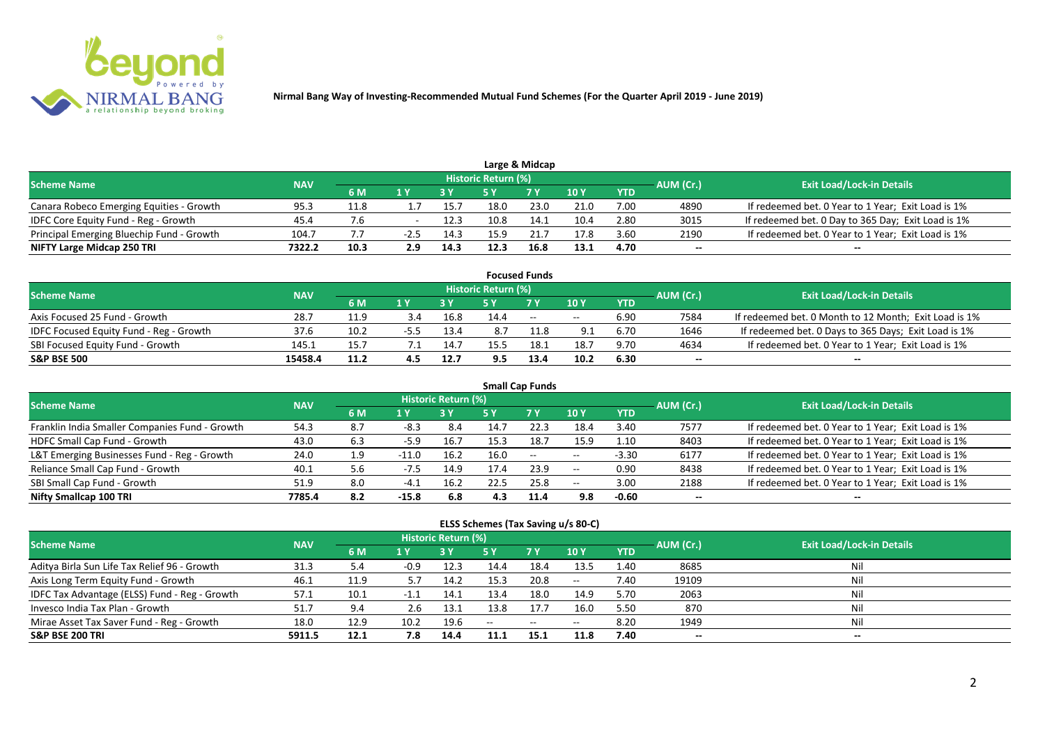

|                                           |            |      |        |      |                     | Large & Midcap |      |            |                          |                                                    |
|-------------------------------------------|------------|------|--------|------|---------------------|----------------|------|------------|--------------------------|----------------------------------------------------|
| <b>Scheme Name</b>                        | <b>NAV</b> |      |        |      | Historic Return (%) |                |      |            | AUM (Cr.)                | <b>Exit Load/Lock-in Details</b>                   |
|                                           |            | 6 M  |        |      |                     | 7 V            | 10 Y | <b>YTD</b> |                          |                                                    |
| Canara Robeco Emerging Equities - Growth  | 95.3       | 11.8 |        | 15.7 | 18.0                | 23.0           | 21.0 | 7.00       | 4890                     | If redeemed bet. 0 Year to 1 Year; Exit Load is 1% |
| IDFC Core Equity Fund - Reg - Growth      | 45.4       |      |        | 12.3 | 10.8                | 14.1           | 10.4 | 2.80       | 3015                     | If redeemed bet. 0 Day to 365 Day; Exit Load is 1% |
| Principal Emerging Bluechip Fund - Growth | 104.7      |      | $-2.5$ | 14.3 |                     |                | 17.8 | 3.60       | 2190                     | If redeemed bet. 0 Year to 1 Year; Exit Load is 1% |
| NIFTY Large Midcap 250 TRI                | 7322.2     | 10.3 | 2.9    | 14.3 | 12.3                | 16.8           | 13.1 | 4.70       | $\overline{\phantom{a}}$ | $- -$                                              |

|                                                |            |      |     |      |                     | <b>Focused Funds</b> |            |            |           |                                                       |
|------------------------------------------------|------------|------|-----|------|---------------------|----------------------|------------|------------|-----------|-------------------------------------------------------|
| <b>Scheme Name</b>                             | <b>NAV</b> |      |     |      | Historic Return (%) |                      |            |            | AUM (Cr.) | <b>Exit Load/Lock-in Details</b>                      |
|                                                |            | 6 M  | 1 V |      |                     | 7 Y                  | 10Y        | <b>YTD</b> |           |                                                       |
| Axis Focused 25 Fund - Growth                  | 28.7       | 11.9 |     | 16.8 | 14.4                | $ -$                 | $\sim$ $-$ | 6.90       | 7584      | If redeemed bet. 0 Month to 12 Month; Exit Load is 1% |
| <b>IDFC Focused Equity Fund - Reg - Growth</b> | 37.6       | 10.2 | -55 | 13.4 | 8.7                 |                      | 9.1        | 6.70       | 1646      | If redeemed bet. 0 Days to 365 Days; Exit Load is 1%  |
| SBI Focused Equity Fund - Growth               | 145.1      | 15.7 |     | 14.7 |                     | ن.18                 | 18.7       | 9.70       | 4634      | If redeemed bet. 0 Year to 1 Year; Exit Load is 1%    |
| <b>S&amp;P BSE 500</b>                         | 15458.4    | 11.2 |     | 12.7 | 9.5                 | 13.4                 | 10.2       | 6.30       | --        | --                                                    |

| <b>Small Cap Funds</b>                         |            |     |         |                     |      |           |            |            |           |                                                    |  |  |  |
|------------------------------------------------|------------|-----|---------|---------------------|------|-----------|------------|------------|-----------|----------------------------------------------------|--|--|--|
| <b>Scheme Name</b>                             | <b>NAV</b> |     |         | Historic Return (%) |      |           |            |            | AUM (Cr.) | <b>Exit Load/Lock-in Details</b>                   |  |  |  |
|                                                |            | 6 M | 1 Y     |                     | 5 Y  | <b>7Y</b> | <b>10Y</b> | <b>YTD</b> |           |                                                    |  |  |  |
| Franklin India Smaller Companies Fund - Growth | 54.3       | 8.7 | $-8.3$  | 8.4                 | 14.7 | 22.3      | 18.4       | 3.40       | 7577      | If redeemed bet. 0 Year to 1 Year; Exit Load is 1% |  |  |  |
| HDFC Small Cap Fund - Growth                   | 43.0       | 6.3 | $-5.9$  | 16.7                | 15.3 | 18.7      | 15.9       | 1.10       | 8403      | If redeemed bet. 0 Year to 1 Year; Exit Load is 1% |  |  |  |
| L&T Emerging Businesses Fund - Reg - Growth    | 24.0       | 1.9 | $-11.0$ | 16.2                | 16.0 | $- -$     | $\sim$ $-$ | $-3.30$    | 6177      | If redeemed bet. 0 Year to 1 Year; Exit Load is 1% |  |  |  |
| Reliance Small Cap Fund - Growth               | 40.1       | 5.6 | $-7.5$  | 14.9                | 17.4 | 23.9      | $- -$      | 0.90       | 8438      | If redeemed bet. 0 Year to 1 Year; Exit Load is 1% |  |  |  |
| SBI Small Cap Fund - Growth                    | 51.9       | 8.0 | $-4.1$  | 16.2                | 22.5 | 25.8      | $- -$      | 3.00       | 2188      | If redeemed bet. 0 Year to 1 Year; Exit Load is 1% |  |  |  |
| Nifty Smallcap 100 TRI                         | 7785.4     | 8.2 | $-15.8$ | 6.8                 | 4.3  | 11.4      | 9.8        | $-0.60$    | --        |                                                    |  |  |  |

#### **ELSS Schemes (Tax Saving u/s 80-C)**

| Scheme Name                                   | <b>NAV</b> |      |      | Historic Return (%) |      |                                                |       |            | AUM (Cr.) | <b>Exit Load/Lock-in Details</b> |
|-----------------------------------------------|------------|------|------|---------------------|------|------------------------------------------------|-------|------------|-----------|----------------------------------|
|                                               |            | 6 M  |      |                     |      | 7 <sub>Y</sub>                                 | 10 Y  | <b>YTD</b> |           |                                  |
| Aditya Birla Sun Life Tax Relief 96 - Growth  | 31.3       | - ه. | -0.9 | 12.3                | 14.4 | 18.4                                           | 13.5  | 1.40       | 8685      | Nil                              |
| Axis Long Term Equity Fund - Growth           | 46.1       | 11.9 | 5.7  | 14.2                | 15.3 | 20.8                                           | $- -$ | 7.40       | 19109     | Nil                              |
| IDFC Tax Advantage (ELSS) Fund - Reg - Growth | 57.1       | 10.1 |      | 14.1                | 13.4 | 18.0                                           | 14.9  | 5.70       | 2063      | Nil                              |
| Invesco India Tax Plan - Growth               | 51.7       | 9.4  | 2.6  | 13.1                | 13.8 | 17.7                                           | 16.0  | 5.50       | 870       | Nil                              |
| Mirae Asset Tax Saver Fund - Reg - Growth     | 18.0       | 12.9 | 10.2 | 19.6                | $-$  | $\hspace{0.1mm}-\hspace{0.1mm}-\hspace{0.1mm}$ | $- -$ | 8.20       | 1949      | Nil                              |
| <b>S&amp;P BSE 200 TRI</b>                    | 5911.5     | 12.1 | 7.8  | 14.4                | 11.1 | 15.1                                           | 11.8  | 7.40       | $-$       | $- -$                            |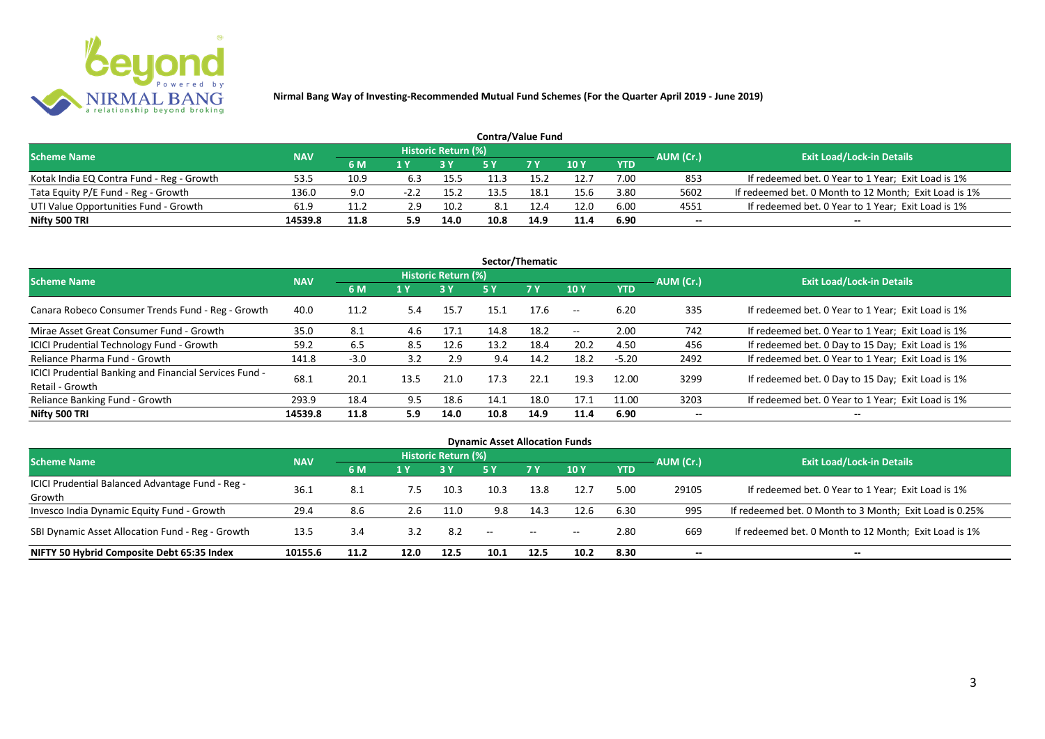

| <b>Contra/Value Fund</b>                  |            |      |      |                     |      |            |      |            |           |                                                       |  |  |  |  |
|-------------------------------------------|------------|------|------|---------------------|------|------------|------|------------|-----------|-------------------------------------------------------|--|--|--|--|
| <b>Scheme Name</b>                        | <b>NAV</b> |      |      | Historic Return (%) |      |            |      |            | AUM (Cr.) | <b>Exit Load/Lock-in Details</b>                      |  |  |  |  |
|                                           |            | 6 M  | 1 Y  |                     |      | <b>7 Y</b> | 10Y  | <b>YTD</b> |           |                                                       |  |  |  |  |
| Kotak India EQ Contra Fund - Reg - Growth | 53.5       | 10.9 | 6.3  | 15.5                |      | 15.        | 12.7 | 7.00       | 853       | If redeemed bet. 0 Year to 1 Year; Exit Load is 1%    |  |  |  |  |
| Tata Equity P/E Fund - Reg - Growth       | 136.0      | 9.0  | -2.2 | 15.2                | 13.5 | 18.1       | 15.6 | 3.80       | 5602      | If redeemed bet. 0 Month to 12 Month; Exit Load is 1% |  |  |  |  |
| UTI Value Opportunities Fund - Growth     | 61.9       | 11.2 | 2.9  | 10.2                | 8.1  | 12.4       | 12.0 | 6.00       | 4551      | If redeemed bet. 0 Year to 1 Year; Exit Load is 1%    |  |  |  |  |
| Nifty 500 TRI                             | 14539.8    | 11.8 | 5.9  | 14.0                | 10.8 | 14.9       | 11.4 | 6.90       | --        | $- -$                                                 |  |  |  |  |

| Sector/Thematic                                                           |            |        |      |                            |      |           |                          |            |           |                                                    |  |  |  |
|---------------------------------------------------------------------------|------------|--------|------|----------------------------|------|-----------|--------------------------|------------|-----------|----------------------------------------------------|--|--|--|
| <b>Scheme Name</b>                                                        | <b>NAV</b> |        |      | <b>Historic Return (%)</b> |      |           |                          |            | AUM (Cr.) | <b>Exit Load/Lock-in Details</b>                   |  |  |  |
|                                                                           |            | 6 M    | 1 Y  | <b>3 Y</b>                 | 5 Y  | <b>7Y</b> | <b>10Y</b>               | <b>YTD</b> |           |                                                    |  |  |  |
| Canara Robeco Consumer Trends Fund - Reg - Growth                         | 40.0       | 11.2   | 5.4  | 15.7                       | 15.1 | 17.6      | $\sim$ $\sim$            | 6.20       | 335       | If redeemed bet. 0 Year to 1 Year; Exit Load is 1% |  |  |  |
| Mirae Asset Great Consumer Fund - Growth                                  | 35.0       | 8.1    | 4.6  | 17.1                       | 14.8 | 18.2      | $\overline{\phantom{a}}$ | 2.00       | 742       | If redeemed bet. 0 Year to 1 Year; Exit Load is 1% |  |  |  |
| <b>ICICI Prudential Technology Fund - Growth</b>                          | 59.2       | 6.5    | 8.5  | 12.6                       | 13.2 | 18.4      | 20.2                     | 4.50       | 456       | If redeemed bet. 0 Day to 15 Day; Exit Load is 1%  |  |  |  |
| Reliance Pharma Fund - Growth                                             | 141.8      | $-3.0$ | 3.2  | 2.9                        | 9.4  | 14.2      | 18.2                     | $-5.20$    | 2492      | If redeemed bet. 0 Year to 1 Year; Exit Load is 1% |  |  |  |
| ICICI Prudential Banking and Financial Services Fund -<br>Retail - Growth | 68.1       | 20.1   | 13.5 | 21.0                       | 17.3 | 22.1      | 19.3                     | 12.00      | 3299      | If redeemed bet. 0 Day to 15 Day; Exit Load is 1%  |  |  |  |
| Reliance Banking Fund - Growth                                            | 293.9      | 18.4   | 9.5  | 18.6                       | 14.1 | 18.0      | 17.1                     | 11.00      | 3203      | If redeemed bet. 0 Year to 1 Year; Exit Load is 1% |  |  |  |
| Nifty 500 TRI                                                             | 14539.8    | 11.8   | 5.9  | 14.0                       | 10.8 | 14.9      | 11.4                     | 6.90       | $- -$     | $\overline{\phantom{a}}$                           |  |  |  |

| <b>Dynamic Asset Allocation Funds</b>            |            |      |      |                                              |      |       |       |           |       |                                                         |  |  |  |
|--------------------------------------------------|------------|------|------|----------------------------------------------|------|-------|-------|-----------|-------|---------------------------------------------------------|--|--|--|
| <b>Scheme Name</b>                               | <b>NAV</b> |      |      | <b>Historic Return (%)</b>                   |      |       |       |           |       | <b>Exit Load/Lock-in Details</b>                        |  |  |  |
|                                                  |            | 6 M  | 1 Y  | <b>7Y</b><br><b>10Y</b><br><b>YTD</b><br>5 Y |      |       |       | AUM (Cr.) |       |                                                         |  |  |  |
| ICICI Prudential Balanced Advantage Fund - Reg - |            |      |      |                                              |      |       |       |           |       |                                                         |  |  |  |
| Growth                                           | 36.3       | -8.1 | 7.5  | 10.3                                         | 10.3 | 13.8  | 12.7  | 5.00      | 29105 | If redeemed bet. 0 Year to 1 Year; Exit Load is 1%      |  |  |  |
| Invesco India Dynamic Equity Fund - Growth       | 29.4       | 8.6  | 2.6  | 11.0                                         | 9.8  | 14.3  | 12.6  | 6.30      | 995   | If redeemed bet. 0 Month to 3 Month; Exit Load is 0.25% |  |  |  |
| SBI Dynamic Asset Allocation Fund - Reg - Growth | 13.5       | 3.4  | 3.2  | 8.2                                          | --   | $- -$ | $- -$ | 2.80      | 669   | If redeemed bet. 0 Month to 12 Month; Exit Load is 1%   |  |  |  |
| NIFTY 50 Hybrid Composite Debt 65:35 Index       | 10155.6    | 11.2 | 12.0 | 12.5                                         | 10.1 | 12.5  | 10.2  | 8.30      | --    | $- -$                                                   |  |  |  |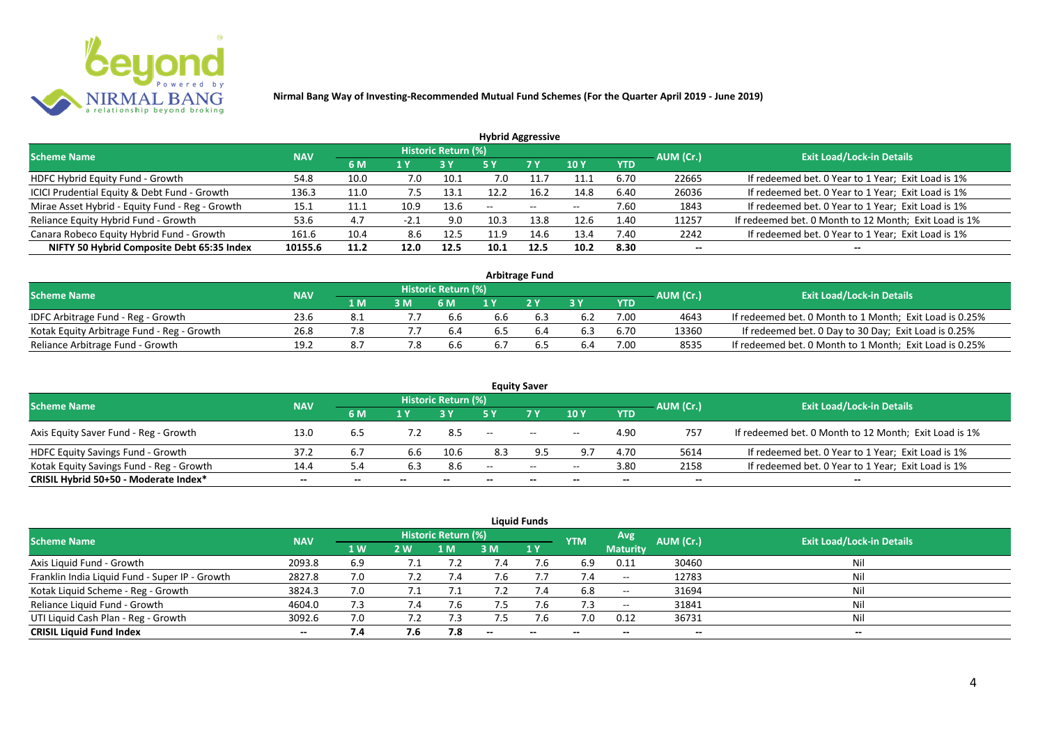

| <b>Hybrid Aggressive</b>                        |            |      |        |                     |      |        |            |            |           |                                                       |  |  |  |
|-------------------------------------------------|------------|------|--------|---------------------|------|--------|------------|------------|-----------|-------------------------------------------------------|--|--|--|
| <b>Scheme Name</b>                              | <b>NAV</b> |      |        | Historic Return (%) |      |        |            |            | AUM (Cr.) | <b>Exit Load/Lock-in Details</b>                      |  |  |  |
|                                                 |            | 6 M  | 1 Y    |                     | 5 Y  | 7 Y    | <b>10Y</b> | <b>YTD</b> |           |                                                       |  |  |  |
| HDFC Hybrid Equity Fund - Growth                | 54.8       | 10.0 | 7.0    | 10.1                | 7.0  |        | 11.1       | 6.70       | 22665     | If redeemed bet. 0 Year to 1 Year; Exit Load is 1%    |  |  |  |
| ICICI Prudential Equity & Debt Fund - Growth    | 136.3      | 11.0 | 7.5    | 13.1                |      | 16.2   | 14.8       | 6.40       | 26036     | If redeemed bet. 0 Year to 1 Year; Exit Load is 1%    |  |  |  |
| Mirae Asset Hybrid - Equity Fund - Reg - Growth | 15.1       | 11.1 | 10.9   | 13.6                | --   | $\sim$ | $- -$      | 7.60       | 1843      | If redeemed bet. 0 Year to 1 Year; Exit Load is 1%    |  |  |  |
| Reliance Equity Hybrid Fund - Growth            | 53.6       | 4.7  | $-2.1$ | 9.0                 | 10.3 | 13.8   | 12.6       | 1.40       | 11257     | If redeemed bet. 0 Month to 12 Month; Exit Load is 1% |  |  |  |
| Canara Robeco Equity Hybrid Fund - Growth       | 161.6      | 10.4 | 8.6    | 12.5                | 11.9 | 14.6   | 13.4       | 7.40       | 2242      | If redeemed bet. 0 Year to 1 Year; Exit Load is 1%    |  |  |  |
| NIFTY 50 Hybrid Composite Debt 65:35 Index      | 10155.6    | 11.2 | 12.0   | 12.5                | 10.1 | 12.5   | 10.2       | 8.30       | --        |                                                       |  |  |  |
|                                                 |            |      |        |                     |      |        |            |            |           |                                                       |  |  |  |

| <b>Arbitrage Fund</b>                      |            |      |  |                            |     |     |     |            |           |                                                         |  |  |  |
|--------------------------------------------|------------|------|--|----------------------------|-----|-----|-----|------------|-----------|---------------------------------------------------------|--|--|--|
| <b>Scheme Name</b>                         | <b>NAV</b> |      |  | <b>Historic Return (%)</b> |     |     |     |            | AUM (Cr.) | <b>Exit Load/Lock-in Details</b>                        |  |  |  |
|                                            |            | 1 M. |  | 6 M                        |     | 2V  |     | <b>YTD</b> |           |                                                         |  |  |  |
| IDFC Arbitrage Fund - Reg - Growth         | 23.6       |      |  |                            | p.b |     | 6.2 | 7.00       | 4643      | If redeemed bet. 0 Month to 1 Month; Exit Load is 0.25% |  |  |  |
| Kotak Equity Arbitrage Fund - Reg - Growth | 26.8       |      |  | 6.4                        | 6.5 | 6.4 | 6.3 | 6.70       | 13360     | If redeemed bet. 0 Day to 30 Day; Exit Load is 0.25%    |  |  |  |
| Reliance Arbitrage Fund - Growth           | 19.2       | 8.7  |  |                            |     |     | 6.4 | 7.00       | 8535      | If redeemed bet. 0 Month to 1 Month; Exit Load is 0.25% |  |  |  |

|                                          |            |       |       |                     |                   | <b>Equity Saver</b> |                          |            |                          |                                                       |
|------------------------------------------|------------|-------|-------|---------------------|-------------------|---------------------|--------------------------|------------|--------------------------|-------------------------------------------------------|
| <b>Scheme Name</b>                       | <b>NAV</b> |       |       | Historic Return (%) |                   |                     |                          |            | AUM (Cr.)                | <b>Exit Load/Lock-in Details</b>                      |
|                                          |            | 6 M   |       |                     |                   | <b>7 Y</b>          | <b>10Y</b>               | <b>YTD</b> |                          |                                                       |
| Axis Equity Saver Fund - Reg - Growth    | 13.0       | 6.5   |       | 8.5                 | $\hspace{0.05cm}$ | $\sim$              | $\overline{\phantom{a}}$ | 4.90       | 757                      | If redeemed bet. 0 Month to 12 Month; Exit Load is 1% |
| HDFC Equity Savings Fund - Growth        | 37.2       |       | 6.6   | 10.6                | 8.3               |                     |                          | 4.70       | 5614                     | If redeemed bet. 0 Year to 1 Year; Exit Load is 1%    |
| Kotak Equity Savings Fund - Reg - Growth | 14.4       |       | 6.3   | 8.6                 | $-$               | $  \,$              | $- -$                    | 3.80       | 2158                     | If redeemed bet. 0 Year to 1 Year; Exit Load is 1%    |
| CRISIL Hybrid 50+50 - Moderate Index*    | $- -$      | $- -$ | $- -$ | $- -$               |                   | $- -$               | $\overline{\phantom{a}}$ | $- -$      | $\overline{\phantom{a}}$ | $- -$                                                 |

| <b>Liquid Funds</b>                            |            |                |     |                            |     |                          |                          |                          |                          |                                  |  |  |  |  |
|------------------------------------------------|------------|----------------|-----|----------------------------|-----|--------------------------|--------------------------|--------------------------|--------------------------|----------------------------------|--|--|--|--|
| <b>Scheme Name</b>                             | <b>NAV</b> |                |     | <b>Historic Return (%)</b> |     |                          | <b>YTM</b>               | Avg                      | AUM (Cr.)                | <b>Exit Load/Lock-in Details</b> |  |  |  |  |
|                                                |            | 1 <sub>W</sub> | 2W  | 1 M                        | 3 M | 1Y                       |                          | <b>Maturity</b>          |                          |                                  |  |  |  |  |
| Axis Liquid Fund - Growth                      | 2093.8     | 6.9            |     |                            | 4.' | 7.6                      | 6.9                      | 0.11                     | 30460                    | Nil                              |  |  |  |  |
| Franklin India Liquid Fund - Super IP - Growth | 2827.8     | 7.0            |     | 7.4                        | 7.6 |                          | 7.4                      | $\hspace{0.05cm} \cdots$ | 12783                    | Nil                              |  |  |  |  |
| Kotak Liquid Scheme - Reg - Growth             | 3824.3     | 7.0            |     | 7.1                        | 7.2 | 7.4                      | 6.8                      | $\hspace{0.05cm}$        | 31694                    | Nil                              |  |  |  |  |
| Reliance Liquid Fund - Growth                  | 4604.0     | 7.3            | 7.4 |                            | 7.5 | 7.6                      | 7.3                      | $\sim$                   | 31841                    | Nil                              |  |  |  |  |
| UTI Liquid Cash Plan - Reg - Growth            | 3092.6     | 7.0            | 7.2 |                            |     | 7.b                      | 7.0                      | 0.12                     | 36731                    | Nil                              |  |  |  |  |
| <b>CRISIL Liquid Fund Index</b>                | $- -$      | 7.4            | 7.6 | 7.8                        | $-$ | $\overline{\phantom{a}}$ | $\overline{\phantom{a}}$ | $\overline{\phantom{a}}$ | $\overline{\phantom{a}}$ | $\overline{\phantom{a}}$         |  |  |  |  |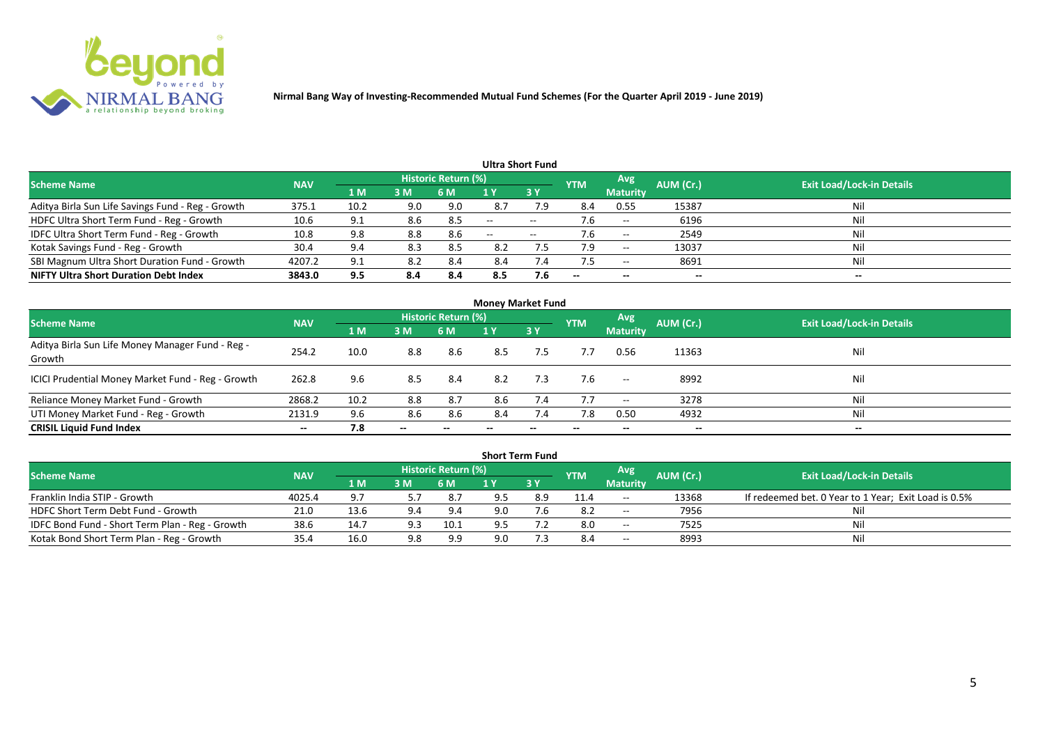

| Ultra Short Fund                                  |            |      |     |                            |       |             |                          |                          |           |                                  |  |  |  |
|---------------------------------------------------|------------|------|-----|----------------------------|-------|-------------|--------------------------|--------------------------|-----------|----------------------------------|--|--|--|
| <b>Scheme Name</b>                                | <b>NAV</b> |      |     | <b>Historic Return (%)</b> |       |             | <b>YTM</b>               | Avg                      | AUM (Cr.) | <b>Exit Load/Lock-in Details</b> |  |  |  |
|                                                   |            | 1 M  | 3M  | 6 M                        |       | 3Y          |                          | <b>Maturity</b>          |           |                                  |  |  |  |
| Aditya Birla Sun Life Savings Fund - Reg - Growth | 375.1      | 10.2 | 9.0 | 9.0                        | 8.7   | 7.9         | 8.4                      | 0.55                     | 15387     | Nil                              |  |  |  |
| HDFC Ultra Short Term Fund - Reg - Growth         | 10.6       | 9.1  | 8.6 | 8.5                        | $-$   | $- -$       |                          | $- -$                    | 6196      | Nil                              |  |  |  |
| IDFC Ultra Short Term Fund - Reg - Growth         | 10.8       | 9.8  | 8.8 | 8.6                        | $- -$ | $- -$       |                          | $- -$                    | 2549      | Nil                              |  |  |  |
| Kotak Savings Fund - Reg - Growth                 | 30.4       | 9.4  | 8.3 | 8.5                        | 8.2   |             | 7.9                      | $- -$                    | 13037     | Nil                              |  |  |  |
| SBI Magnum Ultra Short Duration Fund - Growth     | 4207.2     | 9.1  | 8.2 | 8.4                        | 8.4   | $\sqrt{.4}$ |                          | $\overline{\phantom{a}}$ | 8691      | Nil                              |  |  |  |
| <b>NIFTY Ultra Short Duration Debt Index</b>      | 3843.0     | 9.5  | 8.4 | 8.4                        | 8.5   | 7.6         | $\overline{\phantom{a}}$ | $- -$                    | --        | $- -$                            |  |  |  |

| <b>Money Market Fund</b>                                   |            |      |       |                            |     |           |            |                          |           |                                  |  |  |  |
|------------------------------------------------------------|------------|------|-------|----------------------------|-----|-----------|------------|--------------------------|-----------|----------------------------------|--|--|--|
| <b>Scheme Name</b>                                         | <b>NAV</b> |      |       | <b>Historic Return (%)</b> |     |           | <b>YTM</b> | Avg                      | AUM (Cr.) | <b>Exit Load/Lock-in Details</b> |  |  |  |
|                                                            |            | 1 M  | 3M    | 6 M                        | 1 Y | <b>3Y</b> |            | <b>Maturity</b>          |           |                                  |  |  |  |
| Aditya Birla Sun Life Money Manager Fund - Reg -<br>Growth | 254.2      | 10.0 | 8.8   | 8.6                        | 8.5 | 7.5       | 7.7        | 0.56                     | 11363     | Nil                              |  |  |  |
| ICICI Prudential Money Market Fund - Reg - Growth          | 262.8      | 9.6  | 8.5   | 8.4                        | 8.2 | 7.3       | 7.6        | $\overline{\phantom{a}}$ | 8992      | Nil                              |  |  |  |
| Reliance Money Market Fund - Growth                        | 2868.2     | 10.2 | 8.8   | 8.7                        | 8.6 | 7.4       | 7.7        | $\overline{\phantom{a}}$ | 3278      | Ni                               |  |  |  |
| UTI Money Market Fund - Reg - Growth                       | 2131.9     | 9.6  | 8.6   | 8.6                        | 8.4 | 7.4       | 7.8        | 0.50                     | 4932      | Nil                              |  |  |  |
| <b>CRISIL Liquid Fund Index</b>                            | $- -$      | 7.8  | $- -$ |                            |     |           | $- -$      | $- -$                    | --        | $- -$                            |  |  |  |

|                                                 |            |      |     |                            |     | <b>Short Term Fund</b> |            |                          |           |                                                      |
|-------------------------------------------------|------------|------|-----|----------------------------|-----|------------------------|------------|--------------------------|-----------|------------------------------------------------------|
| <b>Scheme Name</b>                              | <b>NAV</b> |      |     | <b>Historic Return (%)</b> |     |                        | <b>YTM</b> | <b>Avg</b>               | AUM (Cr.) | <b>Exit Load/Lock-in Details</b>                     |
|                                                 |            | 1 M  | 3M  | <b>6 M</b>                 |     | 73 Y                   |            | <b>Maturity</b>          |           |                                                      |
| Franklin India STIP - Growth                    | 4025.4     | 9.7  |     | 8.7                        |     | 8.9                    | 11.4       | $- -$                    | 13368     | If redeemed bet. 0 Year to 1 Year; Exit Load is 0.5% |
| HDFC Short Term Debt Fund - Growth              | 21.0       | 13.6 | 9.4 | 9.4                        | 9.0 |                        | 8.2        | $\overline{\phantom{a}}$ | 7956      |                                                      |
| IDFC Bond Fund - Short Term Plan - Reg - Growth | 38.6       | 14.7 | 9.3 | 10.1                       |     |                        | 8.0        | $\overline{\phantom{a}}$ | 7525      | Nil                                                  |
| Kotak Bond Short Term Plan - Reg - Growth       | 35.4       | 16.0 | 9.8 | 9.9                        | 9.0 |                        | 8.4        | $\sim$                   | 8993      | Nil                                                  |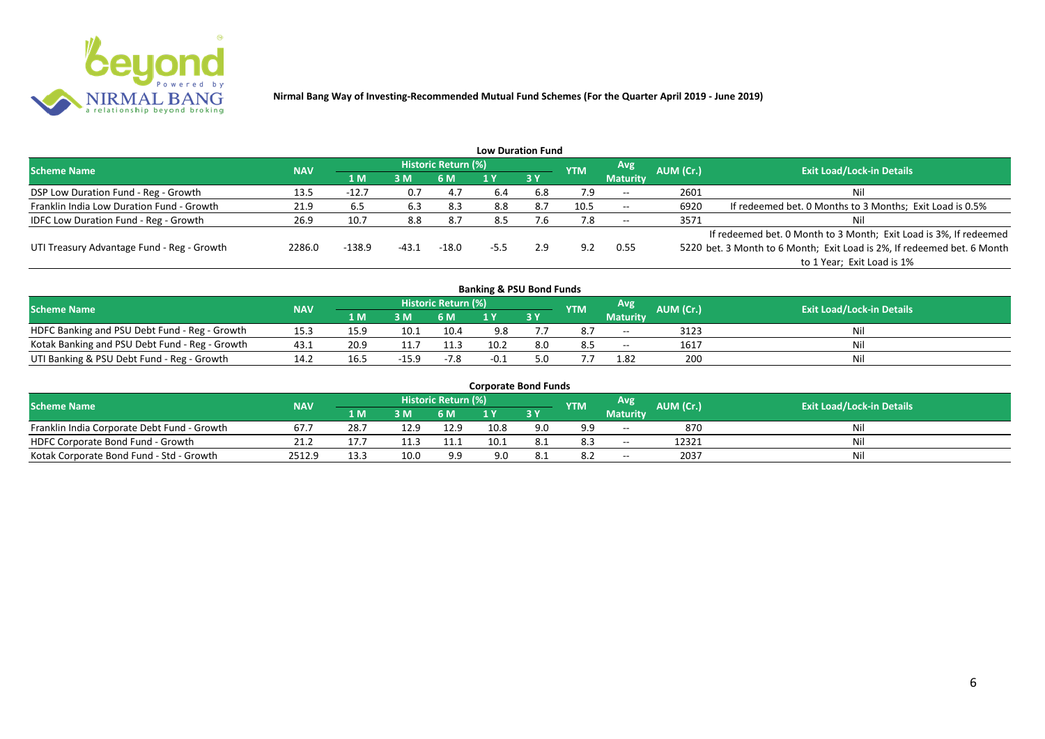

|                                              |            |          |         |                     |        | <b>Low Duration Fund</b> |            |                 |           |                                                                         |
|----------------------------------------------|------------|----------|---------|---------------------|--------|--------------------------|------------|-----------------|-----------|-------------------------------------------------------------------------|
| <b>Scheme Name</b>                           | <b>NAV</b> |          |         | Historic Return (%) |        |                          | <b>YTM</b> | Avg             | AUM (Cr.) | <b>Exit Load/Lock-in Details</b>                                        |
|                                              |            | 1 M      | 3M      | 6 M                 |        | <b>3Y</b>                |            | <b>Maturity</b> |           |                                                                         |
| DSP Low Duration Fund - Reg - Growth         | 13.5       | $-12.7$  | 0.7     | 4.7                 | 6.4    | 6.8                      | 7.9        | $--$            | 2601      | Nil                                                                     |
| Franklin India Low Duration Fund - Growth    | 21.9       | 6.5      | 6.3     | 8.3                 | 8.8    | 8.7                      | 10.5       | $--$            | 6920      | If redeemed bet. 0 Months to 3 Months; Exit Load is 0.5%                |
| <b>IDFC Low Duration Fund - Reg - Growth</b> | 26.9       | 10.7     | 8.8     | 8.7                 | 8.5    | 7.6                      | 7.8        | $- -$           | 3571      | Nil                                                                     |
|                                              |            |          |         |                     |        |                          |            |                 |           | If redeemed bet. 0 Month to 3 Month; Exit Load is 3%, If redeemed       |
| UTI Treasury Advantage Fund - Reg - Growth   | 2286.0     | $-138.9$ | $-43.1$ | $-18.0$             | $-5.5$ | 2.9                      | 9.2        | 0.55            |           | 5220 bet. 3 Month to 6 Month; Exit Load is 2%, If redeemed bet. 6 Month |
|                                              |            |          |         |                     |        |                          |            |                 |           | to 1 Year; Exit Load is 1%                                              |
|                                              |            |          |         |                     |        |                          |            |                 |           |                                                                         |

| <b>Banking &amp; PSU Bond Funds</b>            |            |      |         |                     |      |    |            |                 |           |                                  |  |  |  |  |
|------------------------------------------------|------------|------|---------|---------------------|------|----|------------|-----------------|-----------|----------------------------------|--|--|--|--|
| <b>Scheme Name</b>                             | <b>NAV</b> |      |         | Historic Return (%) |      |    | <b>YTM</b> | Avg             | AUM (Cr.) | <b>Exit Load/Lock-in Details</b> |  |  |  |  |
|                                                |            | 1 M  | 3 M     | 6 M                 |      | 3Y |            | <b>Maturity</b> |           |                                  |  |  |  |  |
| HDFC Banking and PSU Debt Fund - Reg - Growth  | 15.3       | 15.9 | 10.1    | 10.4                | 9.8  |    |            | $-$             | 3123      | Nil                              |  |  |  |  |
| Kotak Banking and PSU Debt Fund - Reg - Growth | 43.1       | 20.9 | 11.7    | 11.3                | 10.2 |    | 8.5        | $- -$           | 1617      | Nil                              |  |  |  |  |
| UTI Banking & PSU Debt Fund - Reg - Growth     | 14.2       | 16.5 | $-15.9$ | $-7.8$              | -0.1 |    |            | 1.82            | 200       | Nil                              |  |  |  |  |

| <b>Corporate Bond Funds</b>                 |            |       |      |                            |      |     |            |                 |           |                                  |  |  |  |
|---------------------------------------------|------------|-------|------|----------------------------|------|-----|------------|-----------------|-----------|----------------------------------|--|--|--|
| <b>Scheme Name</b>                          | <b>NAV</b> |       |      | <b>Historic Return (%)</b> |      |     | <b>YTM</b> | Avg'            | AUM (Cr.) | <b>Exit Load/Lock-in Details</b> |  |  |  |
|                                             |            | 1 M / | 3 M  | 6 M                        |      | 3 Y |            | <b>Maturity</b> |           |                                  |  |  |  |
| Franklin India Corporate Debt Fund - Growth | 67.        | 28.7  | 12.9 | 12.9                       | 10.8 | 9.0 | a a        | $-$             | 870       | Nil                              |  |  |  |
| HDFC Corporate Bond Fund - Growth           | 21.2       |       |      |                            | 10.1 |     | 8.3        | $-$             | 12321     | Nil                              |  |  |  |
| Kotak Corporate Bond Fund - Std - Growth    | 2512.9     | 13.3  | 10.0 | 9.9                        | 9.0  |     | -8.2       | $-$             | 2037      | Nil                              |  |  |  |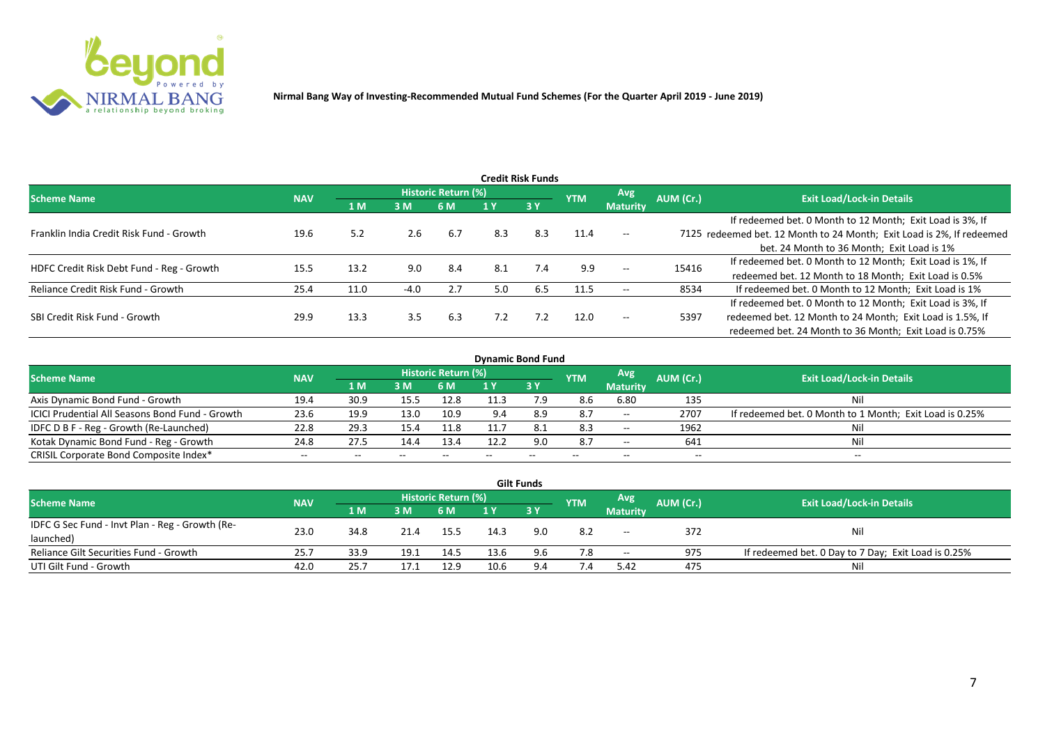

|                                           |            |      |        |                     |     | <b>Credit Risk Funds</b> |            |                 |           |                                                                       |
|-------------------------------------------|------------|------|--------|---------------------|-----|--------------------------|------------|-----------------|-----------|-----------------------------------------------------------------------|
| <b>Scheme Name</b>                        | <b>NAV</b> |      |        | Historic Return (%) |     |                          | <b>YTM</b> | <b>Avg</b>      | AUM (Cr.) | <b>Exit Load/Lock-in Details</b>                                      |
|                                           |            | 1 M  | 3M     | 6 M                 |     | 3Y                       |            | <b>Maturity</b> |           |                                                                       |
|                                           |            |      |        |                     |     |                          |            |                 |           | If redeemed bet. 0 Month to 12 Month; Exit Load is 3%, If             |
| Franklin India Credit Risk Fund - Growth  | 19.6       | 5.2  | 2.6    | -6.7                | 8.3 | 8.3                      | 11.4       | $-$             |           | 7125 redeemed bet. 12 Month to 24 Month; Exit Load is 2%, If redeemed |
|                                           |            |      |        |                     |     |                          |            |                 |           | bet. 24 Month to 36 Month; Exit Load is 1%                            |
| HDFC Credit Risk Debt Fund - Reg - Growth | 15.5       | 13.2 | 9.0    | 8.4                 | 8.1 | 7.4                      | 9.9        | $--$            | 15416     | If redeemed bet. 0 Month to 12 Month; Exit Load is 1%, If             |
|                                           |            |      |        |                     |     |                          |            |                 |           | redeemed bet. 12 Month to 18 Month; Exit Load is 0.5%                 |
| Reliance Credit Risk Fund - Growth        | 25.4       | 11.0 | $-4.0$ | 2.7                 | 5.0 | 6.5                      | 11.5       | $- -$           | 8534      | If redeemed bet. 0 Month to 12 Month; Exit Load is 1%                 |
|                                           |            |      |        |                     |     |                          |            |                 |           | If redeemed bet. 0 Month to 12 Month; Exit Load is 3%, If             |
| SBI Credit Risk Fund - Growth             | 29.9       | 13.3 | 3.5    | 6.3                 | 7.2 | 7.2                      | 12.0       | $- -$           | 5397      | redeemed bet. 12 Month to 24 Month; Exit Load is 1.5%, If             |
|                                           |            |      |        |                     |     |                          |            |                 |           | redeemed bet. 24 Month to 36 Month; Exit Load is 0.75%                |

| <b>Dynamic Bond Fund</b>                        |            |       |                          |                     |       |           |            |                          |           |                                                         |  |  |  |  |
|-------------------------------------------------|------------|-------|--------------------------|---------------------|-------|-----------|------------|--------------------------|-----------|---------------------------------------------------------|--|--|--|--|
| <b>Scheme Name</b>                              | <b>NAV</b> |       |                          | Historic Return (%) |       |           | <b>YTM</b> | Avg                      | AUM (Cr.) | <b>Exit Load/Lock-in Details</b>                        |  |  |  |  |
|                                                 |            | 1 M   | 3M                       | 6 M                 |       | <b>3Y</b> |            | <b>Maturity</b>          |           |                                                         |  |  |  |  |
| Axis Dynamic Bond Fund - Growth                 | 19.4       | 30.9  | 15.5                     | 12.8                | 11.5  | 7.9       | 8.6        | 6.80                     | 135       | Nil                                                     |  |  |  |  |
| ICICI Prudential All Seasons Bond Fund - Growth | 23.6       | 19.9  | 13.0                     | 10.9                | 9.4   | 8.9       | 8.7        | $- -$                    | 2707      | If redeemed bet. 0 Month to 1 Month; Exit Load is 0.25% |  |  |  |  |
| IDFC D B F - Reg - Growth (Re-Launched)         | 22.8       | 29.3  | 15.4                     | 11.8                | 11.   | -8.1      | 8.3        | $\sim$                   | 1962      |                                                         |  |  |  |  |
| Kotak Dynamic Bond Fund - Reg - Growth          | 24.8       | 27.5  | 14.4                     | 13.4                | 12.2  | 9.0       | 8.7        | $\overline{\phantom{a}}$ | 641       | Nil                                                     |  |  |  |  |
| CRISIL Corporate Bond Composite Index*          | $- -$      | $- -$ | $\overline{\phantom{a}}$ |                     | $- -$ | $- -$     | $- -$      | $- -$                    | $- -$     | $- -$                                                   |  |  |  |  |

| <b>Gilt Funds</b>                               |            |       |      |                     |      |             |            |                     |           |                                                     |  |  |  |  |
|-------------------------------------------------|------------|-------|------|---------------------|------|-------------|------------|---------------------|-----------|-----------------------------------------------------|--|--|--|--|
| <b>Scheme Name</b>                              | <b>NAV</b> |       |      | Historic Return (%) |      |             | <b>YTM</b> | <b>Avg</b>          | AUM (Cr.) | <b>Exit Load/Lock-in Details</b>                    |  |  |  |  |
|                                                 |            | 1 M / | 3M   | 6 M                 | 1 Y  | <b>73 Y</b> |            | <b>Maturity</b>     |           |                                                     |  |  |  |  |
| IDFC G Sec Fund - Invt Plan - Reg - Growth (Re- | 23.0       |       |      |                     | 14.3 |             |            |                     |           | Nil                                                 |  |  |  |  |
| launched)                                       |            | 34.8  |      | 15.5                |      | 9.0         | 8.2        | $\hspace{0.05cm} -$ | 372       |                                                     |  |  |  |  |
| Reliance Gilt Securities Fund - Growth          | 25.7       | 33.9  | 19.1 | 14.5                | 13.6 | 9.6         | 7.8        | $- -$               | 975       | If redeemed bet. 0 Day to 7 Day; Exit Load is 0.25% |  |  |  |  |
| UTI Gilt Fund - Growth                          | 42.0       | 25.7  |      | 12.9                | 10.6 | 9.4         |            | 5.42                | 475       | Nil                                                 |  |  |  |  |